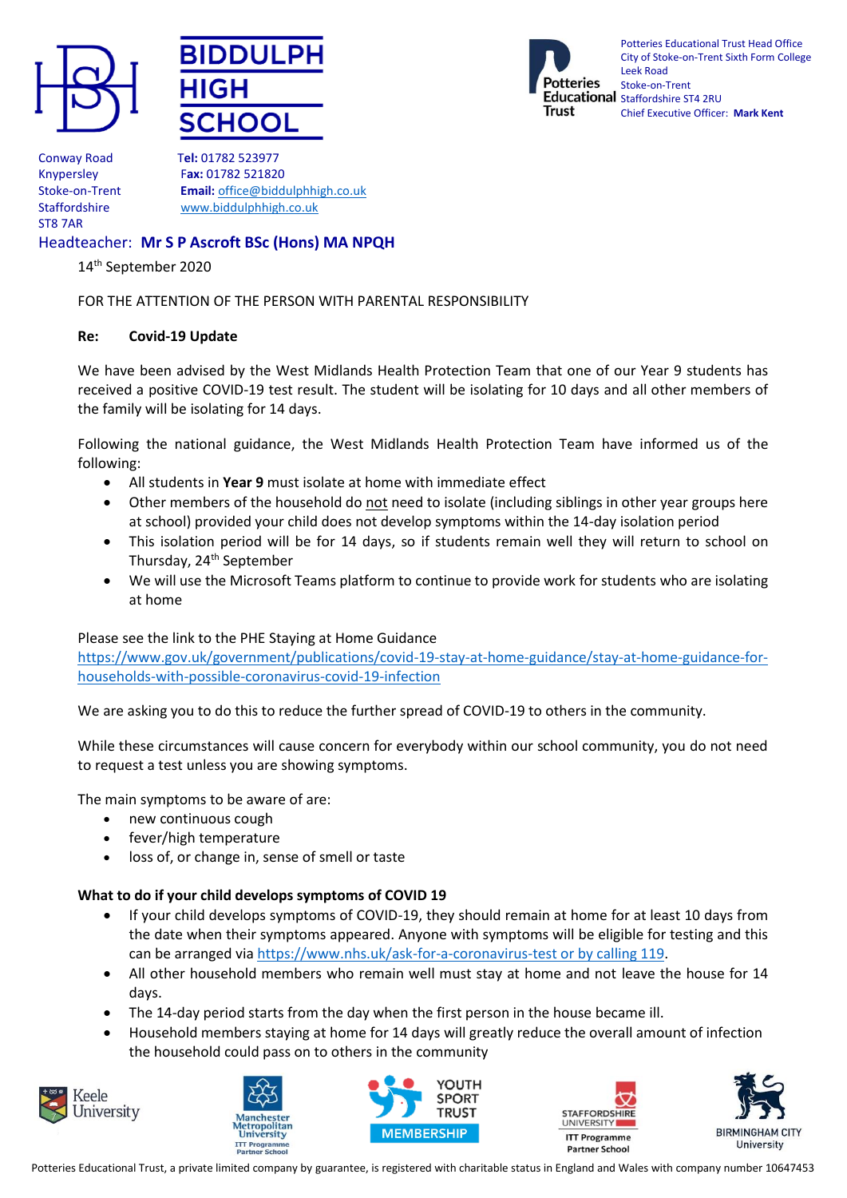





Potteries Educational Trust Head Office City of Stoke-on-Trent Sixth Form College Leek Road Stoke-on-Trent Educational Staffordshire ST4 2RU Chief Executive Officer: **Mark Kent**

Conway Road T**el:** 01782 523977 ST8 7AR

Knypersley F**ax:** 01782 521820 Stoke-on-Trent **Email:** [office@biddulphhigh.co.uk](mailto:office@biddulphhigh.co.uk) Staffordshire [www.biddulphhigh.co.uk](http://www.biddulphhigh.co.uk/) 

# Headteacher: **Mr S P Ascroft BSc (Hons) MA NPQH**

14th September 2020

FOR THE ATTENTION OF THE PERSON WITH PARENTAL RESPONSIBILITY

### **Re: Covid-19 Update**

We have been advised by the West Midlands Health Protection Team that one of our Year 9 students has received a positive COVID-19 test result. The student will be isolating for 10 days and all other members of the family will be isolating for 14 days.

Following the national guidance, the West Midlands Health Protection Team have informed us of the following:

- All students in **Year 9** must isolate at home with immediate effect
- Other members of the household do not need to isolate (including siblings in other year groups here at school) provided your child does not develop symptoms within the 14-day isolation period
- This isolation period will be for 14 days, so if students remain well they will return to school on Thursday, 24<sup>th</sup> September
- We will use the Microsoft Teams platform to continue to provide work for students who are isolating at home

Please see the link to the PHE Staying at Home Guidance

[https://www.gov.uk/government/publications/covid-19-stay-at-home-guidance/stay-at-home-guidance-for](https://www.gov.uk/government/publications/covid-19-stay-at-home-guidance/stay-at-home-guidance-for-households-with-possible-coronavirus-covid-19-infection)[households-with-possible-coronavirus-covid-19-infection](https://www.gov.uk/government/publications/covid-19-stay-at-home-guidance/stay-at-home-guidance-for-households-with-possible-coronavirus-covid-19-infection)

We are asking you to do this to reduce the further spread of COVID-19 to others in the community.

While these circumstances will cause concern for everybody within our school community, you do not need to request a test unless you are showing symptoms.

The main symptoms to be aware of are:

- new continuous cough
- fever/high temperature
- loss of, or change in, sense of smell or taste

## **What to do if your child develops symptoms of COVID 19**

- If your child develops symptoms of COVID-19, they should remain at home for at least 10 days from the date when their symptoms appeared. Anyone with symptoms will be eligible for testing and this can be arranged via [https://www.nhs.uk/ask-for-a-coronavirus-test or by calling 119.](https://www.nhs.uk/ask-for-a-coronavirus-test%20or%20by%20calling%20119)
- All other household members who remain well must stay at home and not leave the house for 14 days.
- The 14-day period starts from the day when the first person in the house became ill.
- Household members staying at home for 14 days will greatly reduce the overall amount of infection the household could pass on to others in the community